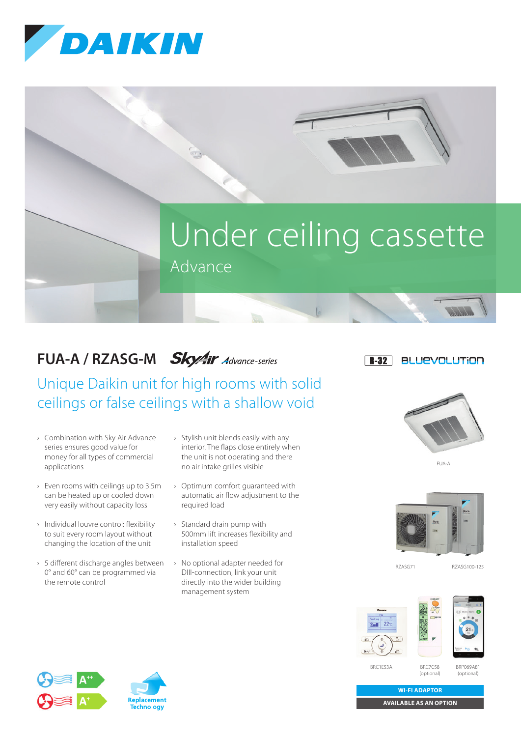



## FUA-A / RZASG-M *SkyAir Advance-series*

Unique Daikin unit for high rooms with solid ceilings or false ceilings with a shallow void

- › Combination with Sky Air Advance series ensures good value for money for all types of commercial applications
- › Even rooms with ceilings up to 3.5m can be heated up or cooled down very easily without capacity loss
- › Individual louvre control: flexibility to suit every room layout without changing the location of the unit
- › 5 different discharge angles between 0° and 60° can be programmed via the remote control
- › Stylish unit blends easily with any interior. The flaps close entirely when the unit is not operating and there no air intake grilles visible
- › Optimum comfort guaranteed with automatic air flow adjustment to the required load
- › Standard drain pump with 500mm lift increases flexibility and installation speed
- › No optional adapter needed for DIII-connection, link your unit directly into the wider building management system

## **BLUEVOLUTION**  $R-32$







RZASG71 RZASG100-125



BRC1E53A

BRC7C58 (optional) BRP069A81 (optional)